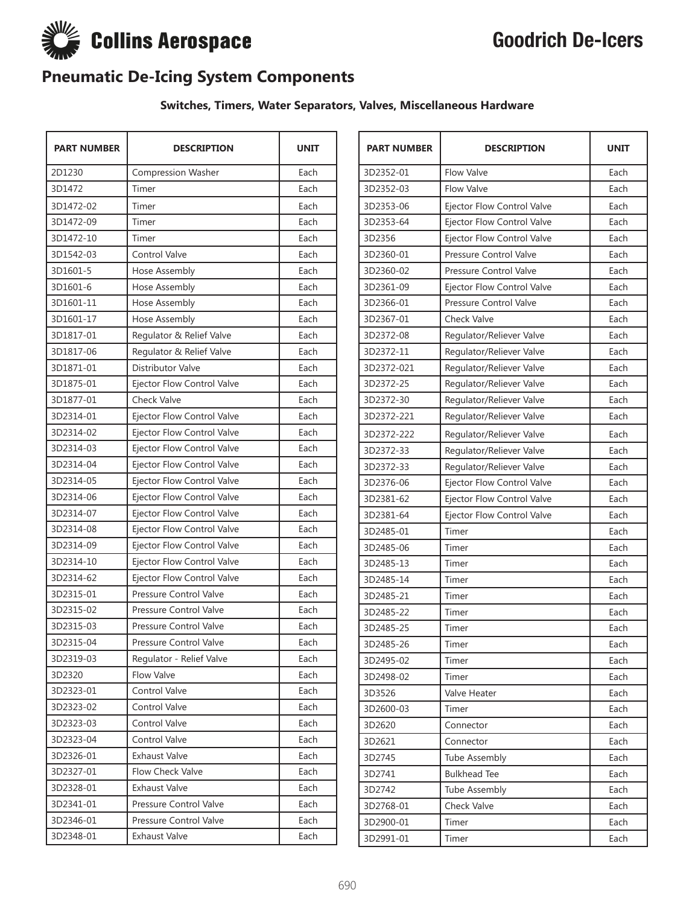

# Goodrich De-Icers

### **Pneumatic De-Icing System Components**

#### **Switches, Timers, Water Separators, Valves, Miscellaneous Hardware**

| <b>PART NUMBER</b> | <b>DESCRIPTION</b>            | <b>UNIT</b> |
|--------------------|-------------------------------|-------------|
| 2D1230             | Compression Washer            | Each        |
| 3D1472             | Timer                         | Each        |
| 3D1472-02          | Timer                         | Each        |
| 3D1472-09          | Timer                         | Each        |
| 3D1472-10          | Timer                         | Each        |
| 3D1542-03          | Control Valve                 | Each        |
| 3D1601-5           | Hose Assembly                 | Each        |
| 3D1601-6           | Hose Assembly                 | Each        |
| 3D1601-11          | Hose Assembly                 | Each        |
| 3D1601-17          | Hose Assembly                 | Each        |
| 3D1817-01          | Regulator & Relief Valve      | Each        |
| 3D1817-06          | Regulator & Relief Valve      | Each        |
| 3D1871-01          | Distributor Valve             | Each        |
| 3D1875-01          | Ejector Flow Control Valve    | Each        |
| 3D1877-01          | <b>Check Valve</b>            | Each        |
| 3D2314-01          | Ejector Flow Control Valve    | Each        |
| 3D2314-02          | Ejector Flow Control Valve    | Each        |
| 3D2314-03          | Ejector Flow Control Valve    | Each        |
| 3D2314-04          | Ejector Flow Control Valve    | Each        |
| 3D2314-05          | Ejector Flow Control Valve    | Each        |
| 3D2314-06          | Ejector Flow Control Valve    | Each        |
| 3D2314-07          | Ejector Flow Control Valve    | Each        |
| 3D2314-08          | Ejector Flow Control Valve    | Each        |
| 3D2314-09          | Ejector Flow Control Valve    | Each        |
| 3D2314-10          | Ejector Flow Control Valve    | Each        |
| 3D2314-62          | Ejector Flow Control Valve    | Each        |
| 3D2315-01          | <b>Pressure Control Valve</b> | Each        |
| 3D2315-02          | Pressure Control Valve        | Each        |
| 3D2315-03          | Pressure Control Valve        | Each        |
| 3D2315-04          | Pressure Control Valve        | Each        |
| 3D2319-03          | Regulator - Relief Valve      | Each        |
| 3D2320             | Flow Valve                    | Each        |
| 3D2323-01          | Control Valve                 | Each        |
| 3D2323-02          | Control Valve                 | Each        |
| 3D2323-03          | Control Valve                 | Each        |
| 3D2323-04          | Control Valve                 | Each        |
| 3D2326-01          | Exhaust Valve                 | Each        |
| 3D2327-01          | Flow Check Valve              | Each        |
| 3D2328-01          | Exhaust Valve                 | Each        |
| 3D2341-01          | Pressure Control Valve        | Each        |
| 3D2346-01          | Pressure Control Valve        | Each        |
| 3D2348-01          | Exhaust Valve                 | Each        |

| <b>PART NUMBER</b> | <b>DESCRIPTION</b>            | <b>UNIT</b> |
|--------------------|-------------------------------|-------------|
| 3D2352-01          | <b>Flow Valve</b>             | Each        |
| 3D2352-03          | <b>Flow Valve</b>             | Each        |
| 3D2353-06          | Ejector Flow Control Valve    | Each        |
| 3D2353-64          | Ejector Flow Control Valve    | Each        |
| 3D2356             | Ejector Flow Control Valve    | Each        |
| 3D2360-01          | Pressure Control Valve        | Each        |
| 3D2360-02          | Pressure Control Valve        | Each        |
| 3D2361-09          | Ejector Flow Control Valve    | Each        |
| 3D2366-01          | <b>Pressure Control Valve</b> | Each        |
| 3D2367-01          | <b>Check Valve</b>            | Each        |
| 3D2372-08          | Regulator/Reliever Valve      | Each        |
| 3D2372-11          | Regulator/Reliever Valve      | Each        |
| 3D2372-021         | Regulator/Reliever Valve      | Each        |
| 3D2372-25          | Regulator/Reliever Valve      | Each        |
| 3D2372-30          | Regulator/Reliever Valve      | Each        |
| 3D2372-221         | Regulator/Reliever Valve      | Each        |
| 3D2372-222         | Regulator/Reliever Valve      | Each        |
| 3D2372-33          | Regulator/Reliever Valve      | Each        |
| 3D2372-33          | Regulator/Reliever Valve      | Each        |
| 3D2376-06          | Ejector Flow Control Valve    | Each        |
| 3D2381-62          | Ejector Flow Control Valve    | Each        |
| 3D2381-64          | Ejector Flow Control Valve    | Each        |
| 3D2485-01          | Timer                         | Each        |
| 3D2485-06          | Timer                         | Each        |
| 3D2485-13          | Timer                         | Each        |
| 3D2485-14          | Timer                         | Each        |
| 3D2485-21          | Timer                         | Each        |
| 3D2485-22          | Timer                         | Each        |
| 3D2485-25          | Timer                         | Each        |
| 3D2485-26          | Timer                         | Each        |
| 3D2495-02          | Timer                         | Each        |
| 3D2498-02          | Timer                         | Each        |
| 3D3526             | Valve Heater                  | Each        |
| 3D2600-03          | Timer                         | Each        |
| 3D2620             | Connector                     | Each        |
| 3D2621             | Connector                     | Each        |
| 3D2745             | <b>Tube Assembly</b>          | Each        |
| 3D2741             | <b>Bulkhead Tee</b>           | Each        |
| 3D2742             | Tube Assembly                 | Each        |
| 3D2768-01          | Check Valve                   | Each        |
| 3D2900-01          | Timer                         | Each        |
| 3D2991-01          | Timer                         | Each        |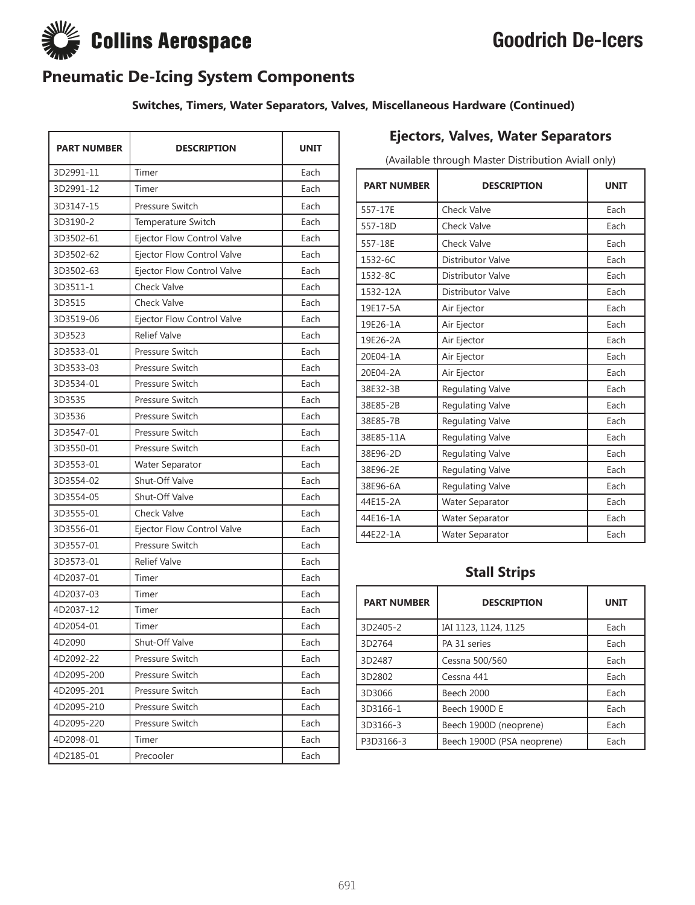# Goodrich De-Icers



### **Pneumatic De-Icing System Components**

#### **Switches, Timers, Water Separators, Valves, Miscellaneous Hardware (Continued)**

| <b>PART NUMBER</b> | <b>DESCRIPTION</b>         | <b>UNIT</b> |
|--------------------|----------------------------|-------------|
| 3D2991-11          | Timer                      | Each        |
| 3D2991-12          | Timer                      | Each        |
| 3D3147-15          | Pressure Switch            | Each        |
| 3D3190-2           | Temperature Switch         | Each        |
| 3D3502-61          | Ejector Flow Control Valve | Each        |
| 3D3502-62          | Ejector Flow Control Valve | Each        |
| 3D3502-63          | Ejector Flow Control Valve | Each        |
| 3D3511-1           | Check Valve                | Each        |
| 3D3515             | Check Valve                | Each        |
| 3D3519-06          | Ejector Flow Control Valve | Each        |
| 3D3523             | <b>Relief Valve</b>        | Each        |
| 3D3533-01          | Pressure Switch            | Each        |
| 3D3533-03          | Pressure Switch            | Each        |
| 3D3534-01          | Pressure Switch            | Each        |
| 3D3535             | Pressure Switch            | Each        |
| 3D3536             | Pressure Switch            | Each        |
| 3D3547-01          | Pressure Switch            | Each        |
| 3D3550-01          | Pressure Switch            | Each        |
| 3D3553-01          | Water Separator            | Each        |
| 3D3554-02          | Shut-Off Valve             | Each        |
| 3D3554-05          | Shut-Off Valve             | Each        |
| 3D3555-01          | Check Valve                | Each        |
| 3D3556-01          | Ejector Flow Control Valve | Each        |
| 3D3557-01          | Pressure Switch            | Each        |
| 3D3573-01          | <b>Relief Valve</b>        | Each        |
| 4D2037-01          | Timer                      | Each        |
| 4D2037-03          | Timer                      | Each        |
| 4D2037-12          | Timer                      | Each        |
| 4D2054-01          | Timer                      | Each        |
| 4D2090             | Shut-Off Valve             | Each        |
| 4D2092-22          | Pressure Switch            | Each        |
| 4D2095-200         | Pressure Switch            | Each        |
| 4D2095-201         | Pressure Switch            | Each        |
| 4D2095-210         | Pressure Switch            | Each        |
| 4D2095-220         | Pressure Switch            | Each        |
| 4D2098-01          | Timer                      | Each        |
| 4D2185-01          | Precooler                  | Each        |

### **Ejectors, Valves, Water Separators**

(Available through Master Distribution Aviall only)

| <b>PART NUMBER</b> | <b>DESCRIPTION</b>      | <b>UNIT</b> |
|--------------------|-------------------------|-------------|
| 557-17E            | Check Valve             | Each        |
| 557-18D            | <b>Check Valve</b>      | Each        |
| 557-18E            | <b>Check Valve</b>      | Each        |
| 1532-6C            | Distributor Valve       | Each        |
| 1532-8C            | Distributor Valve       | Each        |
| 1532-12A           | Distributor Valve       | Each        |
| 19E17-5A           | Air Ejector             | Each        |
| 19E26-1A           | Air Ejector             | Each        |
| 19E26-2A           | Air Ejector             | Each        |
| 20E04-1A           | Air Ejector             | Each        |
| 20E04-2A           | Air Ejector             | Each        |
| 38E32-3B           | Regulating Valve        | Each        |
| 38E85-2B           | <b>Regulating Valve</b> | Each        |
| 38E85-7B           | Regulating Valve        | Each        |
| 38E85-11A          | Regulating Valve        | Each        |
| 38E96-2D           | Regulating Valve        | Each        |
| 38E96-2E           | Regulating Valve        | Each        |
| 38E96-6A           | Regulating Valve        | Each        |
| 44E15-2A           | Water Separator         | Each        |
| 44E16-1A           | Water Separator         | Each        |
| 44E22-1A           | <b>Water Separator</b>  | Each        |

### **Stall Strips**

| <b>PART NUMBER</b> | <b>DESCRIPTION</b>         | <b>UNIT</b> |
|--------------------|----------------------------|-------------|
| 3D2405-2           | IAI 1123, 1124, 1125       | Each        |
| 3D2764             | PA 31 series               | Each        |
| 3D2487             | Cessna 500/560             | Each        |
| 3D2802             | Cessna 441                 | Each        |
| 3D3066             | Beech 2000                 | Each        |
| 3D3166-1           | Beech 1900D E              | Each        |
| 3D3166-3           | Beech 1900D (neoprene)     | Each        |
| P3D3166-3          | Beech 1900D (PSA neoprene) | Each        |